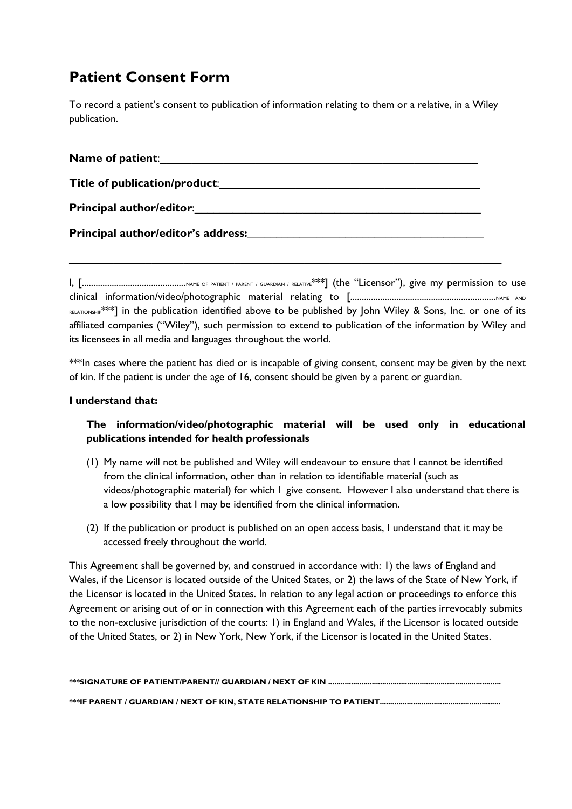## **Patient Consent Form**

To record a patient's consent to publication of information relating to them or a relative, in a Wiley publication.

| <b>Name of patient:</b>                                                                                         |
|-----------------------------------------------------------------------------------------------------------------|
| Title of publication/product:                                                                                   |
| Principal author/editor: National Accounts and Accounts and Accounts and Accounts and Accounts and Accounts and |
|                                                                                                                 |
|                                                                                                                 |

I, [.............................................NAME OF PATIENT / PARENT / GUARDIAN / RELATIVE\*\*\*] (the "Licensor"), give my permission to use clinical information/video/photographic material relating to [...............................................................NAME AND RELATIONSHIP\*\*\*] in the publication identified above to be published by John Wiley & Sons, Inc. or one of its affiliated companies ("Wiley"), such permission to extend to publication of the information by Wiley and its licensees in all media and languages throughout the world.

\*\*In cases where the patient has died or is incapable of giving consent, consent may be given by the next of kin. If the patient is under the age of 16, consent should be given by a parent or guardian.

## **I understand that:**

## **The information/video/photographic material will be used only in educational publications intended for health professionals**

- (1) My name will not be published and Wiley will endeavour to ensure that I cannot be identified from the clinical information, other than in relation to identifiable material (such as videos/photographic material) for which I give consent. However I also understand that there is a low possibility that I may be identified from the clinical information.
- (2) If the publication or product is published on an open access basis, I understand that it may be accessed freely throughout the world.

This Agreement shall be governed by, and construed in accordance with: 1) the laws of England and Wales, if the Licensor is located outside of the United States, or 2) the laws of the State of New York, if the Licensor is located in the United States. In relation to any legal action or proceedings to enforce this Agreement or arising out of or in connection with this Agreement each of the parties irrevocably submits to the non-exclusive jurisdiction of the courts: 1) in England and Wales, if the Licensor is located outside of the United States, or 2) in New York, New York, if the Licensor is located in the United States.